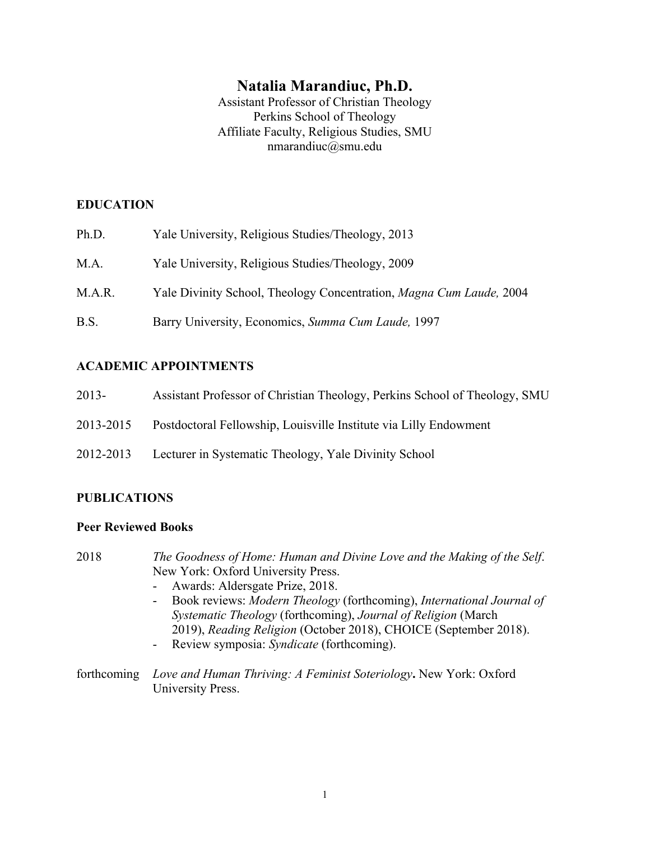# **Natalia Marandiuc, Ph.D.**

Assistant Professor of Christian Theology Perkins School of Theology Affiliate Faculty, Religious Studies, SMU nmarandiuc@smu.edu

## **EDUCATION**

Ph.D. Yale University, Religious Studies/Theology, 2013 M.A. Yale University, Religious Studies/Theology, 2009 M.A.R. Yale Divinity School, Theology Concentration, *Magna Cum Laude,* 2004 B.S. Barry University, Economics, *Summa Cum Laude,* 1997

## **ACADEMIC APPOINTMENTS**

- 2013- Assistant Professor of Christian Theology, Perkins School of Theology, SMU
- 2013-2015 Postdoctoral Fellowship, Louisville Institute via Lilly Endowment
- 2012-2013 Lecturer in Systematic Theology, Yale Divinity School

## **PUBLICATIONS**

## **Peer Reviewed Books**

- 2018 *The Goodness of Home: Human and Divine Love and the Making of the Self*. New York: Oxford University Press.
	- Awards: Aldersgate Prize, 2018.
	- Book reviews: *Modern Theology* (forthcoming), *International Journal of Systematic Theology* (forthcoming), *Journal of Religion* (March 2019), *Reading Religion* (October 2018), CHOICE (September 2018).
	- Review symposia: *Syndicate* (forthcoming).
- forthcoming *Love and Human Thriving: A Feminist Soteriology***.** New York: Oxford University Press.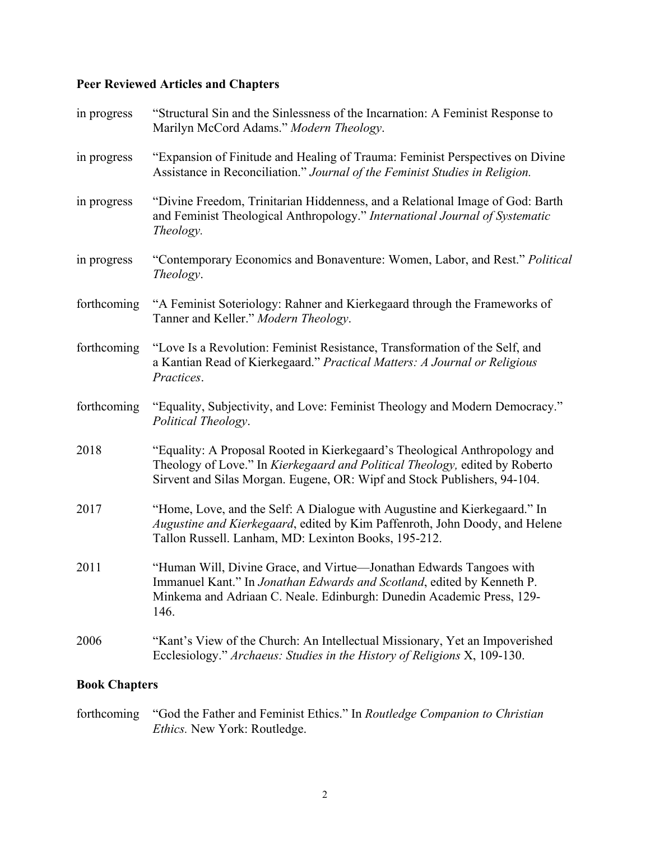# **Peer Reviewed Articles and Chapters**

| in progress | "Structural Sin and the Sinlessness of the Incarnation: A Feminist Response to<br>Marilyn McCord Adams." Modern Theology.                                                                                                             |
|-------------|---------------------------------------------------------------------------------------------------------------------------------------------------------------------------------------------------------------------------------------|
| in progress | "Expansion of Finitude and Healing of Trauma: Feminist Perspectives on Divine<br>Assistance in Reconciliation." Journal of the Feminist Studies in Religion.                                                                          |
| in progress | "Divine Freedom, Trinitarian Hiddenness, and a Relational Image of God: Barth<br>and Feminist Theological Anthropology." International Journal of Systematic<br><i>Theology.</i>                                                      |
| in progress | "Contemporary Economics and Bonaventure: Women, Labor, and Rest." Political<br>Theology.                                                                                                                                              |
| forthcoming | "A Feminist Soteriology: Rahner and Kierkegaard through the Frameworks of<br>Tanner and Keller." Modern Theology.                                                                                                                     |
| forthcoming | "Love Is a Revolution: Feminist Resistance, Transformation of the Self, and<br>a Kantian Read of Kierkegaard." Practical Matters: A Journal or Religious<br>Practices.                                                                |
| forthcoming | "Equality, Subjectivity, and Love: Feminist Theology and Modern Democracy."<br>Political Theology.                                                                                                                                    |
| 2018        | "Equality: A Proposal Rooted in Kierkegaard's Theological Anthropology and<br>Theology of Love." In Kierkegaard and Political Theology, edited by Roberto<br>Sirvent and Silas Morgan. Eugene, OR: Wipf and Stock Publishers, 94-104. |
| 2017        | "Home, Love, and the Self: A Dialogue with Augustine and Kierkegaard." In<br>Augustine and Kierkegaard, edited by Kim Paffenroth, John Doody, and Helene<br>Tallon Russell. Lanham, MD: Lexinton Books, 195-212.                      |
| 2011        | "Human Will, Divine Grace, and Virtue—Jonathan Edwards Tangoes with<br>Immanuel Kant." In Jonathan Edwards and Scotland, edited by Kenneth P<br>Minkema and Adriaan C. Neale. Edinburgh: Dunedin Academic Press, 129-<br>146.         |
| 2006        | "Kant's View of the Church: An Intellectual Missionary, Yet an Impoverished<br>Ecclesiology." Archaeus: Studies in the History of Religions X, 109-130.                                                                               |
|             |                                                                                                                                                                                                                                       |

# **Book Chapters**

forthcoming "God the Father and Feminist Ethics." In *Routledge Companion to Christian Ethics.* New York: Routledge.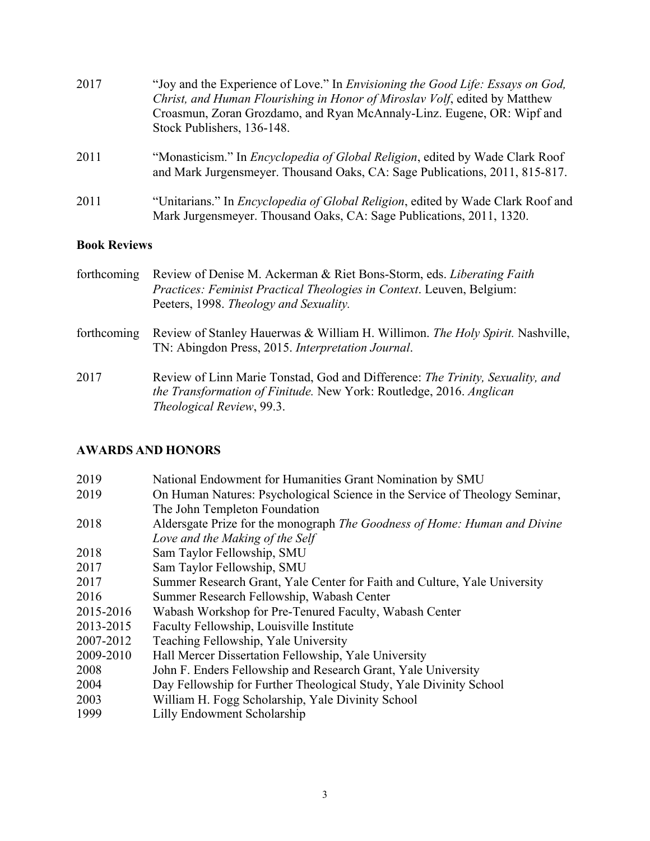| 2017 | "Joy and the Experience of Love." In <i>Envisioning the Good Life: Essays on God</i> ,<br>Christ, and Human Flourishing in Honor of Miroslav Volf, edited by Matthew<br>Croasmun, Zoran Grozdamo, and Ryan McAnnaly-Linz. Eugene, OR: Wipf and<br>Stock Publishers, 136-148. |
|------|------------------------------------------------------------------------------------------------------------------------------------------------------------------------------------------------------------------------------------------------------------------------------|
| 2011 | "Monasticism." In <i>Encyclopedia of Global Religion</i> , edited by Wade Clark Roof<br>and Mark Jurgensmeyer. Thousand Oaks, CA: Sage Publications, 2011, 815-817.                                                                                                          |
| 2011 | "Unitarians." In <i>Encyclopedia of Global Religion</i> , edited by Wade Clark Roof and<br>Mark Jurgensmeyer. Thousand Oaks, CA: Sage Publications, 2011, 1320.                                                                                                              |

# **Book Reviews**

| forthcoming | Review of Denise M. Ackerman & Riet Bons-Storm, eds. Liberating Faith<br>Practices: Feminist Practical Theologies in Context. Leuven, Belgium:<br>Peeters, 1998. Theology and Sexuality. |
|-------------|------------------------------------------------------------------------------------------------------------------------------------------------------------------------------------------|
| forthcoming | Review of Stanley Hauerwas & William H. Willimon. The Holy Spirit. Nashville,<br>TN: Abingdon Press, 2015. Interpretation Journal.                                                       |
| 2017        | Review of Linn Marie Tonstad, God and Difference: The Trinity, Sexuality, and<br>the Transformation of Finitude. New York: Routledge, 2016. Anglican<br>Theological Review, 99.3.        |

# **AWARDS AND HONORS**

| 2019      | National Endowment for Humanities Grant Nomination by SMU                   |
|-----------|-----------------------------------------------------------------------------|
| 2019      | On Human Natures: Psychological Science in the Service of Theology Seminar, |
|           | The John Templeton Foundation                                               |
| 2018      | Aldersgate Prize for the monograph The Goodness of Home: Human and Divine   |
|           | Love and the Making of the Self                                             |
| 2018      | Sam Taylor Fellowship, SMU                                                  |
| 2017      | Sam Taylor Fellowship, SMU                                                  |
| 2017      | Summer Research Grant, Yale Center for Faith and Culture, Yale University   |
| 2016      | Summer Research Fellowship, Wabash Center                                   |
| 2015-2016 | Wabash Workshop for Pre-Tenured Faculty, Wabash Center                      |
| 2013-2015 | Faculty Fellowship, Louisville Institute                                    |
| 2007-2012 | Teaching Fellowship, Yale University                                        |
| 2009-2010 | Hall Mercer Dissertation Fellowship, Yale University                        |
| 2008      | John F. Enders Fellowship and Research Grant, Yale University               |
| 2004      | Day Fellowship for Further Theological Study, Yale Divinity School          |
| 2003      | William H. Fogg Scholarship, Yale Divinity School                           |
| 1999      | Lilly Endowment Scholarship                                                 |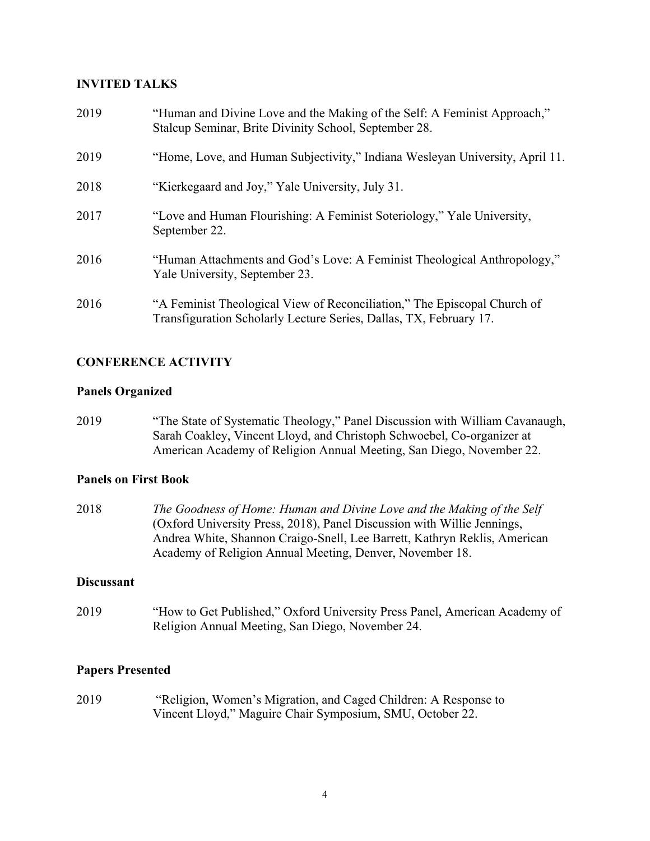### **INVITED TALKS**

| 2019 | "Human and Divine Love and the Making of the Self: A Feminist Approach,"<br>Stalcup Seminar, Brite Divinity School, September 28.              |
|------|------------------------------------------------------------------------------------------------------------------------------------------------|
| 2019 | "Home, Love, and Human Subjectivity," Indiana Wesleyan University, April 11.                                                                   |
| 2018 | "Kierkegaard and Joy," Yale University, July 31.                                                                                               |
| 2017 | "Love and Human Flourishing: A Feminist Soteriology," Yale University,<br>September 22.                                                        |
| 2016 | "Human Attachments and God's Love: A Feminist Theological Anthropology,"<br>Yale University, September 23.                                     |
| 2016 | "A Feminist Theological View of Reconciliation," The Episcopal Church of<br>Transfiguration Scholarly Lecture Series, Dallas, TX, February 17. |

## **CONFERENCE ACTIVITY**

### **Panels Organized**

2019 "The State of Systematic Theology," Panel Discussion with William Cavanaugh, Sarah Coakley, Vincent Lloyd, and Christoph Schwoebel, Co-organizer at American Academy of Religion Annual Meeting, San Diego, November 22.

### **Panels on First Book**

2018 *The Goodness of Home: Human and Divine Love and the Making of the Self* (Oxford University Press, 2018), Panel Discussion with Willie Jennings, Andrea White, Shannon Craigo-Snell, Lee Barrett, Kathryn Reklis, American Academy of Religion Annual Meeting, Denver, November 18.

### **Discussant**

2019 "How to Get Published," Oxford University Press Panel, American Academy of Religion Annual Meeting, San Diego, November 24.

### **Papers Presented**

2019 "Religion, Women's Migration, and Caged Children: A Response to Vincent Lloyd," Maguire Chair Symposium, SMU, October 22.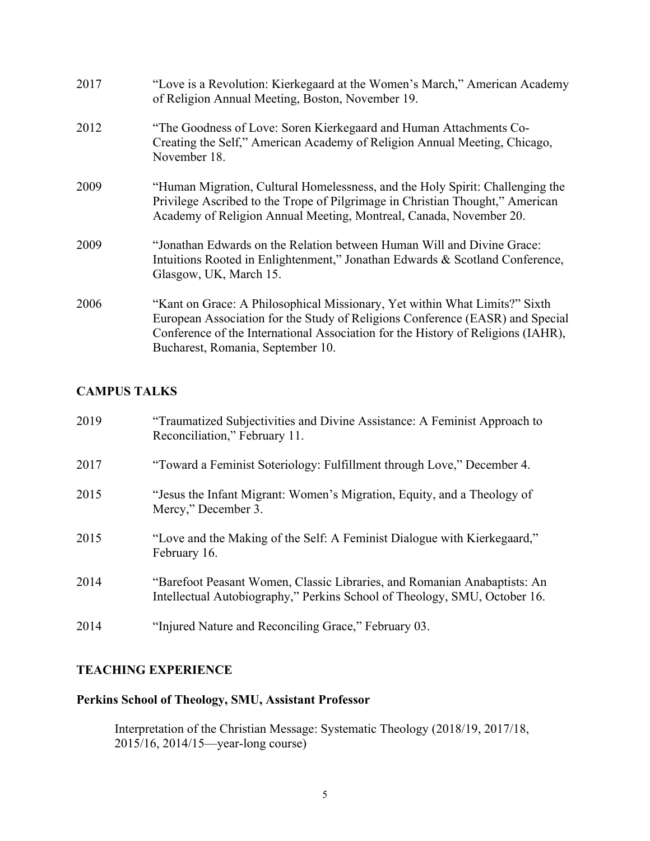| 2017 | "Love is a Revolution: Kierkegaard at the Women's March," American Academy<br>of Religion Annual Meeting, Boston, November 19.                                                                                                                                                       |
|------|--------------------------------------------------------------------------------------------------------------------------------------------------------------------------------------------------------------------------------------------------------------------------------------|
| 2012 | "The Goodness of Love: Soren Kierkegaard and Human Attachments Co-<br>Creating the Self," American Academy of Religion Annual Meeting, Chicago,<br>November 18.                                                                                                                      |
| 2009 | "Human Migration, Cultural Homelessness, and the Holy Spirit: Challenging the<br>Privilege Ascribed to the Trope of Pilgrimage in Christian Thought," American<br>Academy of Religion Annual Meeting, Montreal, Canada, November 20.                                                 |
| 2009 | "Jonathan Edwards on the Relation between Human Will and Divine Grace:<br>Intuitions Rooted in Enlightenment," Jonathan Edwards & Scotland Conference,<br>Glasgow, UK, March 15.                                                                                                     |
| 2006 | "Kant on Grace: A Philosophical Missionary, Yet within What Limits?" Sixth<br>European Association for the Study of Religions Conference (EASR) and Special<br>Conference of the International Association for the History of Religions (IAHR),<br>Bucharest, Romania, September 10. |

## **CAMPUS TALKS**

| 2019 | "Traumatized Subjectivities and Divine Assistance: A Feminist Approach to<br>Reconciliation," February 11.                                            |
|------|-------------------------------------------------------------------------------------------------------------------------------------------------------|
| 2017 | "Toward a Feminist Soteriology: Fulfillment through Love," December 4.                                                                                |
| 2015 | "Jesus the Infant Migrant: Women's Migration, Equity, and a Theology of<br>Mercy," December 3.                                                        |
| 2015 | "Love and the Making of the Self: A Feminist Dialogue with Kierkegaard,"<br>February 16.                                                              |
| 2014 | "Barefoot Peasant Women, Classic Libraries, and Romanian Anabaptists: An<br>Intellectual Autobiography," Perkins School of Theology, SMU, October 16. |
| 2014 | "Injured Nature and Reconciling Grace," February 03.                                                                                                  |

# **TEACHING EXPERIENCE**

# **Perkins School of Theology, SMU, Assistant Professor**

Interpretation of the Christian Message: Systematic Theology (2018/19, 2017/18, 2015/16, 2014/15—year-long course)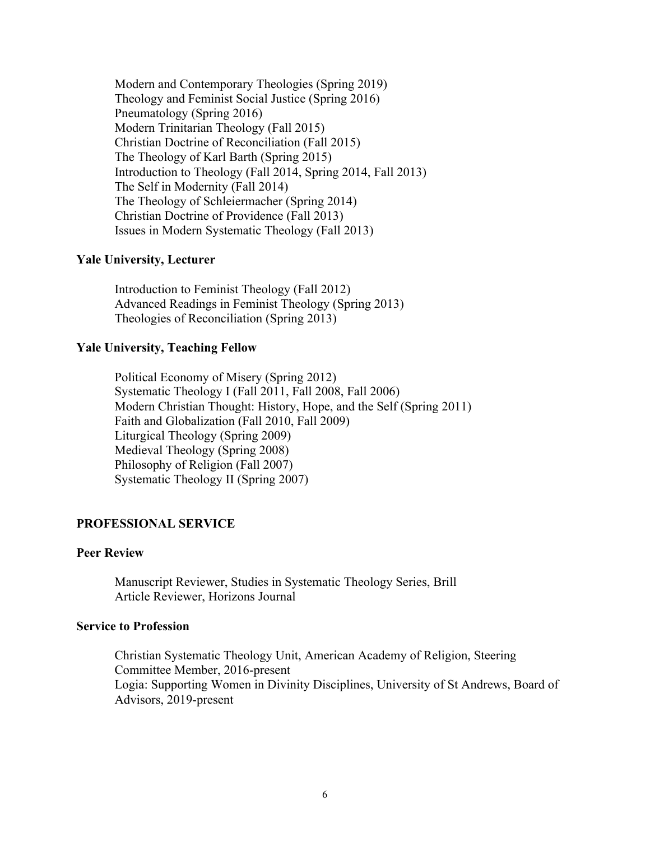Modern and Contemporary Theologies (Spring 2019) Theology and Feminist Social Justice (Spring 2016) Pneumatology (Spring 2016) Modern Trinitarian Theology (Fall 2015) Christian Doctrine of Reconciliation (Fall 2015) The Theology of Karl Barth (Spring 2015) Introduction to Theology (Fall 2014, Spring 2014, Fall 2013) The Self in Modernity (Fall 2014) The Theology of Schleiermacher (Spring 2014) Christian Doctrine of Providence (Fall 2013) Issues in Modern Systematic Theology (Fall 2013)

#### **Yale University, Lecturer**

Introduction to Feminist Theology (Fall 2012) Advanced Readings in Feminist Theology (Spring 2013) Theologies of Reconciliation (Spring 2013)

#### **Yale University, Teaching Fellow**

Political Economy of Misery (Spring 2012) Systematic Theology I (Fall 2011, Fall 2008, Fall 2006) Modern Christian Thought: History, Hope, and the Self (Spring 2011) Faith and Globalization (Fall 2010, Fall 2009) Liturgical Theology (Spring 2009) Medieval Theology (Spring 2008) Philosophy of Religion (Fall 2007) Systematic Theology II (Spring 2007)

#### **PROFESSIONAL SERVICE**

#### **Peer Review**

Manuscript Reviewer, Studies in Systematic Theology Series, Brill Article Reviewer, Horizons Journal

#### **Service to Profession**

Christian Systematic Theology Unit, American Academy of Religion, Steering Committee Member, 2016-present Logia: Supporting Women in Divinity Disciplines, University of St Andrews, Board of Advisors, 2019-present